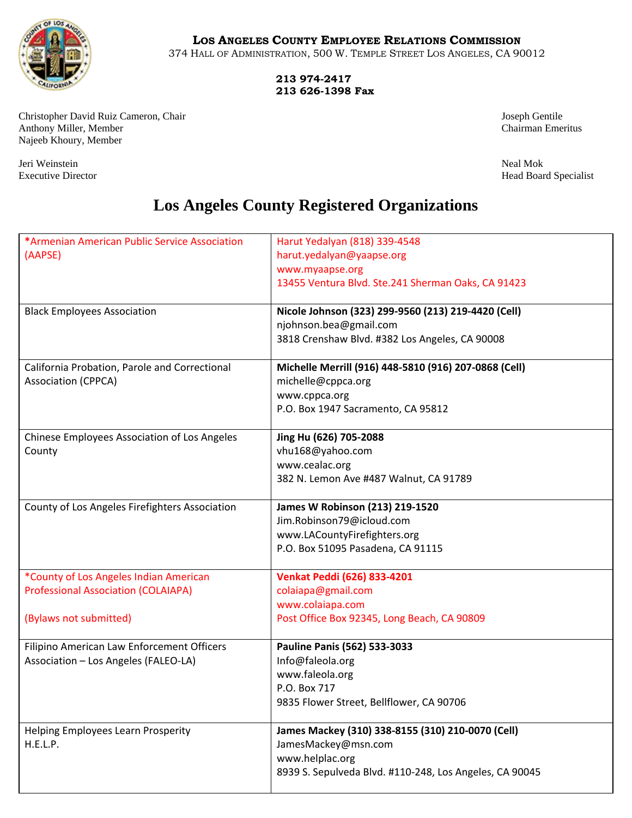

## **LOS ANGELES COUNTY EMPLOYEE RELATIONS COMMISSION**

374 HALL OF ADMINISTRATION, 500 W. TEMPLE STREET LOS ANGELES, CA 90012

 **213 974-2417 213 626-1398 Fax**

Christopher David Ruiz Cameron, Chair Joseph Gentile Anthony Miller, Member Chairman Emeritus Najeeb Khoury, Member

Jeri Weinstein Neal Mok

Executive Director Head Board Specialist

## **Los Angeles County Registered Organizations**

| *Armenian American Public Service Association  | Harut Yedalyan (818) 339-4548                           |
|------------------------------------------------|---------------------------------------------------------|
| (AAPSE)                                        | harut.yedalyan@yaapse.org                               |
|                                                | www.myaapse.org                                         |
|                                                | 13455 Ventura Blvd. Ste.241 Sherman Oaks, CA 91423      |
|                                                |                                                         |
| <b>Black Employees Association</b>             | Nicole Johnson (323) 299-9560 (213) 219-4420 (Cell)     |
|                                                | njohnson.bea@gmail.com                                  |
|                                                | 3818 Crenshaw Blvd. #382 Los Angeles, CA 90008          |
| California Probation, Parole and Correctional  | Michelle Merrill (916) 448-5810 (916) 207-0868 (Cell)   |
| <b>Association (CPPCA)</b>                     | michelle@cppca.org                                      |
|                                                | www.cppca.org                                           |
|                                                | P.O. Box 1947 Sacramento, CA 95812                      |
|                                                |                                                         |
| Chinese Employees Association of Los Angeles   | Jing Hu (626) 705-2088                                  |
| County                                         | vhu168@yahoo.com                                        |
|                                                | www.cealac.org                                          |
|                                                | 382 N. Lemon Ave #487 Walnut, CA 91789                  |
| County of Los Angeles Firefighters Association | James W Robinson (213) 219-1520                         |
|                                                | Jim.Robinson79@icloud.com                               |
|                                                | www.LACountyFirefighters.org                            |
|                                                | P.O. Box 51095 Pasadena, CA 91115                       |
| *County of Los Angeles Indian American         | Venkat Peddi (626) 833-4201                             |
| <b>Professional Association (COLAIAPA)</b>     | colaiapa@gmail.com                                      |
|                                                | www.colaiapa.com                                        |
| (Bylaws not submitted)                         | Post Office Box 92345, Long Beach, CA 90809             |
| Filipino American Law Enforcement Officers     | Pauline Panis (562) 533-3033                            |
| Association - Los Angeles (FALEO-LA)           | Info@faleola.org                                        |
|                                                | www.faleola.org                                         |
|                                                | P.O. Box 717                                            |
|                                                | 9835 Flower Street, Bellflower, CA 90706                |
|                                                |                                                         |
| Helping Employees Learn Prosperity             | James Mackey (310) 338-8155 (310) 210-0070 (Cell)       |
| H.E.L.P.                                       | JamesMackey@msn.com                                     |
|                                                | www.helplac.org                                         |
|                                                | 8939 S. Sepulveda Blvd. #110-248, Los Angeles, CA 90045 |
|                                                |                                                         |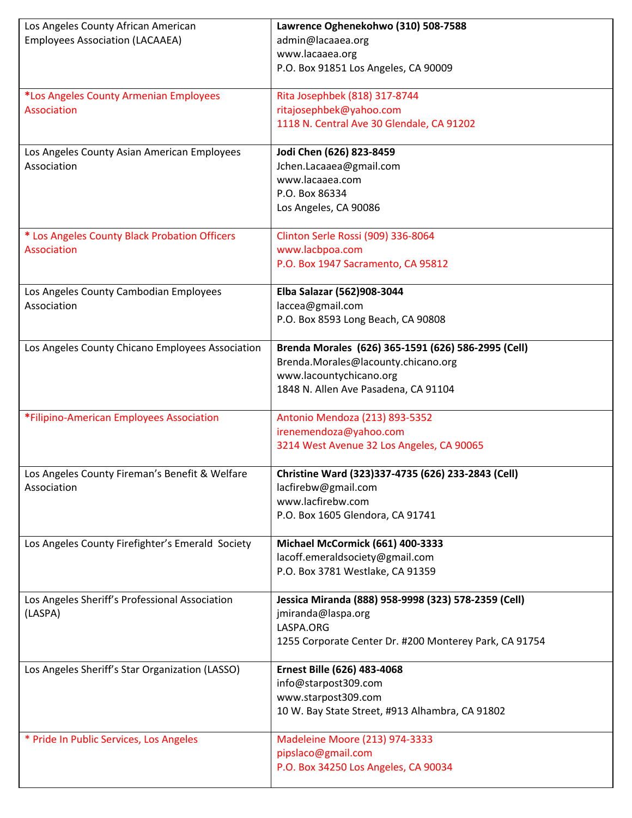| Los Angeles County African American              | Lawrence Oghenekohwo (310) 508-7588                    |
|--------------------------------------------------|--------------------------------------------------------|
| <b>Employees Association (LACAAEA)</b>           | admin@lacaaea.org                                      |
|                                                  | www.lacaaea.org                                        |
|                                                  | P.O. Box 91851 Los Angeles, CA 90009                   |
|                                                  |                                                        |
| *Los Angeles County Armenian Employees           | Rita Josephbek (818) 317-8744                          |
| Association                                      | ritajosephbek@yahoo.com                                |
|                                                  | 1118 N. Central Ave 30 Glendale, CA 91202              |
|                                                  |                                                        |
| Los Angeles County Asian American Employees      | Jodi Chen (626) 823-8459                               |
| Association                                      | Jchen.Lacaaea@gmail.com                                |
|                                                  | www.lacaaea.com                                        |
|                                                  | P.O. Box 86334                                         |
|                                                  | Los Angeles, CA 90086                                  |
| * Los Angeles County Black Probation Officers    | Clinton Serle Rossi (909) 336-8064                     |
| Association                                      | www.lacbpoa.com                                        |
|                                                  | P.O. Box 1947 Sacramento, CA 95812                     |
|                                                  |                                                        |
| Los Angeles County Cambodian Employees           | Elba Salazar (562)908-3044                             |
| Association                                      | laccea@gmail.com                                       |
|                                                  | P.O. Box 8593 Long Beach, CA 90808                     |
| Los Angeles County Chicano Employees Association | Brenda Morales (626) 365-1591 (626) 586-2995 (Cell)    |
|                                                  | Brenda.Morales@lacounty.chicano.org                    |
|                                                  | www.lacountychicano.org                                |
|                                                  | 1848 N. Allen Ave Pasadena, CA 91104                   |
|                                                  |                                                        |
| *Filipino-American Employees Association         | Antonio Mendoza (213) 893-5352                         |
|                                                  | irenemendoza@yahoo.com                                 |
|                                                  | 3214 West Avenue 32 Los Angeles, CA 90065              |
| Los Angeles County Fireman's Benefit & Welfare   | Christine Ward (323)337-4735 (626) 233-2843 (Cell)     |
| Association                                      | lacfirebw@gmail.com                                    |
|                                                  | www.lacfirebw.com                                      |
|                                                  | P.O. Box 1605 Glendora, CA 91741                       |
|                                                  |                                                        |
| Los Angeles County Firefighter's Emerald Society | Michael McCormick (661) 400-3333                       |
|                                                  | lacoff.emeraldsociety@gmail.com                        |
|                                                  | P.O. Box 3781 Westlake, CA 91359                       |
| Los Angeles Sheriff's Professional Association   | Jessica Miranda (888) 958-9998 (323) 578-2359 (Cell)   |
| (LASPA)                                          | jmiranda@laspa.org                                     |
|                                                  | LASPA.ORG                                              |
|                                                  | 1255 Corporate Center Dr. #200 Monterey Park, CA 91754 |
|                                                  |                                                        |
| Los Angeles Sheriff's Star Organization (LASSO)  | Ernest Bille (626) 483-4068                            |
|                                                  | info@starpost309.com                                   |
|                                                  | www.starpost309.com                                    |
|                                                  | 10 W. Bay State Street, #913 Alhambra, CA 91802        |
| * Pride In Public Services, Los Angeles          | Madeleine Moore (213) 974-3333                         |
|                                                  | pipslaco@gmail.com                                     |
|                                                  | P.O. Box 34250 Los Angeles, CA 90034                   |
|                                                  |                                                        |